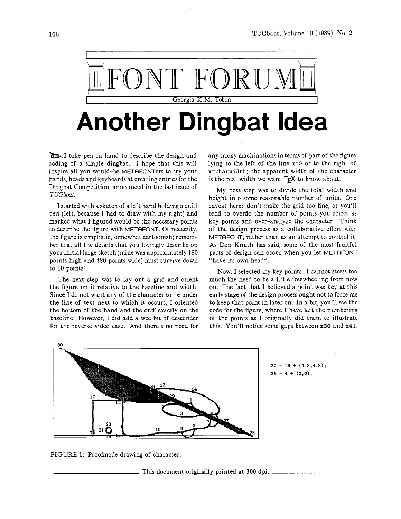

## **Another Dingbat Idea**

**b**1 take pen in hand to describe the design and coding of a simple dingbat. I hope that this will inspire all you would-be METAFONTers to try your hands, heads and keyboards at creating entries for the Dingbat Competition, announced in the last issue of *TUGboat.* 

I started with a sketch of a left hand holding a quill pen (left, because I had to draw with my right) and marked what I figured would be the necessary points to describe the figure with METAFONT. Of necessity, the figure is simplistic, somewhat cartoonish; remember that all the details that you lovingly describe on your initial large sketch (mine was approximately 180 points high and 480 points wide) must survive down to 10 points!

The next step was to lay out a grid and orient the figure on it relative to the baseline and width. Since I do not want any of the character to lie under the line of text next to which it occurs, I oriented the bottom of the hand and the cuff exactly on the baseline. However, I did add a wee bit of descender for the reverse video case. And there's no need for

any tricky machinations in terms of part of the figure lying to the left of the line **x=O** or to the right of **x=charwidth;** the apparent width of the character is the real width we want  $T<sub>F</sub>X$  to know about.

My next step was to divide the total width and height into some reasonable number of units. One caveat here: don't make the grid too fine, or you'll tend to overdo the number of points you select as key points and over-analyze the character. Think of the design process as a collaborative effort with METAFONT, rather than as an attempt to control it. As Don Knuth has said, some of the most fruitful parts of design can occur when you let METAFONT "have its own head".

Now, I selected my key points. I cannot stress too much the need to be a little freewheeling from now on. The fact that I believed a point was key at this early stage of the design process ought not to force me to keep that point in later on. In a bit, you'll see the code for the figure, where I have left the numbering of the points as I originally did them to illustrate this. You'll notice some gaps between **230** and **241.** 



 $22 = 19 + (4.3, 4.3);$  $28 = 4 + (0,0);$ 

FIGURE 1: Proofmode drawing of character.

This document originally printed at 300 dpi.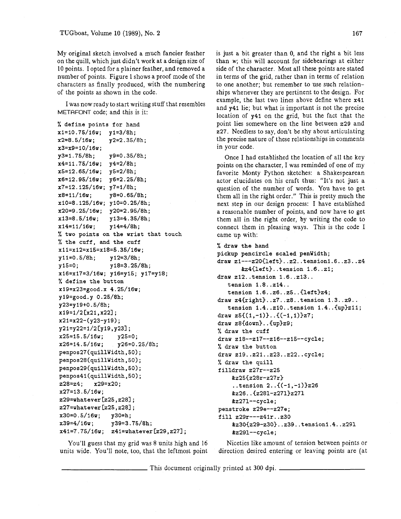My original sketch involved a much fancier feather on the quill, which just didn't work at a design size of 10 points. I opted for a plainer feather, and removed a number of points. Figure 1 shows a proof mode of the characters as finally produced, with the numbering of the points as shown in the code.

I was now ready to start writing stuff that resembles METAFONT code; and this is it:

% **define points for hand xi=10.75/16w; y1=3/8h; x2=8.5/16w; y2=2.35/8h; x3=x9=10/16w; y3=1.75/8h; y9=0.35/8h; x4=11.75/16w; y4=2/8h; x5=12.65/16~; y5=2/8h; x6=12.95/16w; y6=2.25/8h; x7=12.125/16w; y7=1/8h; x8=11/16w; y8=0.65/8h; x10=8.125/16~; yi0=0.25/8h; x20=9.25/16w; y20=2.95/8h; x13=8.5/16w; y13=4.35/8h; x14=11/16w; y14=4/8h;**  % **two points on the wrist that touch**  % **the cuff, and the cuff xIi=x12=~15=~18=5.35/16~; yll=0.5/8h; y12=3/8h; yi5=0; yi8=3.25/8h; x16=x17=3/16w; y16=yi5; y17=y18;**  % **define the button xl9=x23=good.x 4.25/16w; yl9=good.y 0.25/8h; y23=yi9+0.5/8h; x19=1/2 [x21 ,x22]** ; **x21=x22-(y23-y19); y21=y22=1/2 Cy19 ,y231** ;  $x25=15.5/16w;$ **x26=14.5/16w; y26=0.25/8h;**  penpos27(quillWidth, 50); **penpos28(quillWidth,50); penpos29(quillWidth,50); penpos4l(quillWidth,50); z28=z4; x29=x20; x27=13.5/16w; z29=whatever [z25,z281** ; **z27=whatever CzX, 2281** ; **x30=0.5/16w; y30=h; x39=4/16w; y39=3.75/8h; x4l=7. 75/I6w; z41=whatever [z29,z27]** ; is just a bit greater than 0, and the right a bit less than **w;** this will account for sidebearings at either side of the character. Most all these points are stated in terms of the grid, rather than in terms of relation to one another; but remember to use such relationships whenever they are pertinent to the design. For example, the last two lines above define where **x41**  and **y41** lie; but what is important is not the precise location of **y41** on the grid, but the fact that the point lies somewhere on the line between **229** and **227.** Needless to say, don't be shy about articulating the precise nature of these relationships in comments in your code.

Once I had established the location of all the key points on the character, I was reminded of one of my favorite Monty Python sketches: a Shakespearean actor elucidates on his craft thus: "It's not just a question of the number of words. You have to get them all in the right order." This is pretty much the next step in our design process: I have established a reasonable number of points, and now have to get them all in the right order, by writing the code to connect them in pleasing ways. This is the code I came up with:

% **draw the hand** 

```
pickup pencircle scaled penwidth; 
draw zl---z20<left)..z2..tensionl.6..z3..z4 
       tz4Cleft). .tension I .6. .zi; 
draw z12..tension 1.6..z13..
   tension 1.8. .z14.. 
   tension 1.6..z6..z5..{left}z4;
draw z4<right)..z7..~8..tension 1.3..z9.. 
   tension 1.4..ziO..tension 1.4..<up)zil; 
draw z5\{(1,-1)\}..\{(-1,1)\}z7;
draw z8<down)..<up)z9; 
% draw the cuff 
draw 218--217--216--215--cycle; 
% draw the button 
draw z19..~21..~23..~22..cycle; 
% draw the quill 
filldraw z27r--225 
    &z25<z28r-z27r> 
    ..tension 2..((-1,-1))z26 
    tz26..<~281-z271)z271 
    tz271--cycle; 
penstroke z29e--z27e; 
fill z29r---z4ir..z30 
    &z30<z29-z30)..z39..tensionl.4..z291 
    tz291--cycle;
```
You'll guess that my grid was 8 units high and 16 units wide. You'll note, too, that the leftmost point

Niceties like amount of tension between points or direction desired entering or leaving points are (at

This document originally printed at 300 dpi.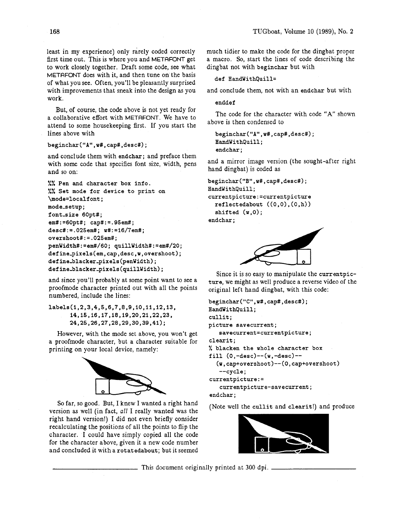least in my experience) only rarely coded correctly first time out. This is where you and METAFONT get to work closely together. Draft some code, see what METAFONT does with it, and then tune on the basis of what you see. Often, you'll be pleasantly surprised with improvements that sneak into the design as you work.

But, of course, the code above is not yet ready for a collaborative effort with METAFONT. We have to attend to some housekeeping first. If you start the lines above with

## beginchar("A", w#, cap#, desc#);

and conclude them with **endchar;** and preface them with some code that specifies font size, width, pens and so on:

```
%% Pen and character box info. 
%% Set mode for device to print on 
\mode=localfont; 
mode-setup ; 
f ont-size 60pt#; 
em#:=60pt#; cap#:=.95em#; 
desc#:=.025em#; w#:=16/7em#; 
overshoot#:=.025em#; 
penWidth#:=em#/60; quillWidth#:=em#/20; 
define-pixels(em,cap,desc,w,overshoot); 
def he-blacker-pixels (penwidth) ; 
define-blacker-pixels(quil1Width);
```
and since you'll probably at some point want to see a proofmode character printed out with all the points numbered, include the lines:

labels(1,2,3,4,5,6,7,8,9,10,11,12,13, 14, 15, 16, 17, 18, 19, 20, 21, 22, 23, 24, 25, 26, 27, 28, 29, 30, 39, 41);

However, with the mode set above, you won't get a proofmode character, but a character suitable for printing on your local device, namely:



So far, so good. But, I knew I wanted a right hand version as well (in fact, all I really wanted was the right hand version!) I did not even briefly consider recalculating the positions of all the points to flip the character. I could have simply copied all the code for the character above, given it a new code number and concluded it with a **rotatedabout;** but it seemed much tidier to make the code for the dingbat proper a macro. So, start the lines of code describing the dingbat not with **beginchar** but with

```
def Handwithquill=
```
and conclude them, not with an **endchar** but with

**enddef** 

The code for the character with code "A" shown above is then condensed to

**beginchar("A",w#,cap#,desc#); HandWithQuill; endchar** ;

and a mirror image version (the sought-after right hand dingbat) is coded as

```
beginchar("~",w#,cap#,desc#); 
HandWithQuill ; 
currentpicture:=currentpicture 
  ref lectedabout ((0,O) , (0, h) ) 
  shifted (w , 0) ; 
endchar ;
```


Since it is so easy to manipulate the **currentpicture,** we might as well produce a reverse video of the original left hand dingbat, with this code:

```
beginchar("C",w#,cap#,desc#); 
HandWithQuill; 
cullit ; 
picture savecurrent ; 
   savecurrent=currentpicture; 
clearit; 
% blacken the whole character box 
fill (0,-desc)--(w,-desc)-- 
  (w, cap+overshoot)--(O, cap+overshoot) 
   --cycle; 
currentpicture:= 
   currentpicture-savecurrent; 
endchar ;
```
(Note well the **cullit** and **clearit!)** and produce



This document originally printed at 300 dpi.